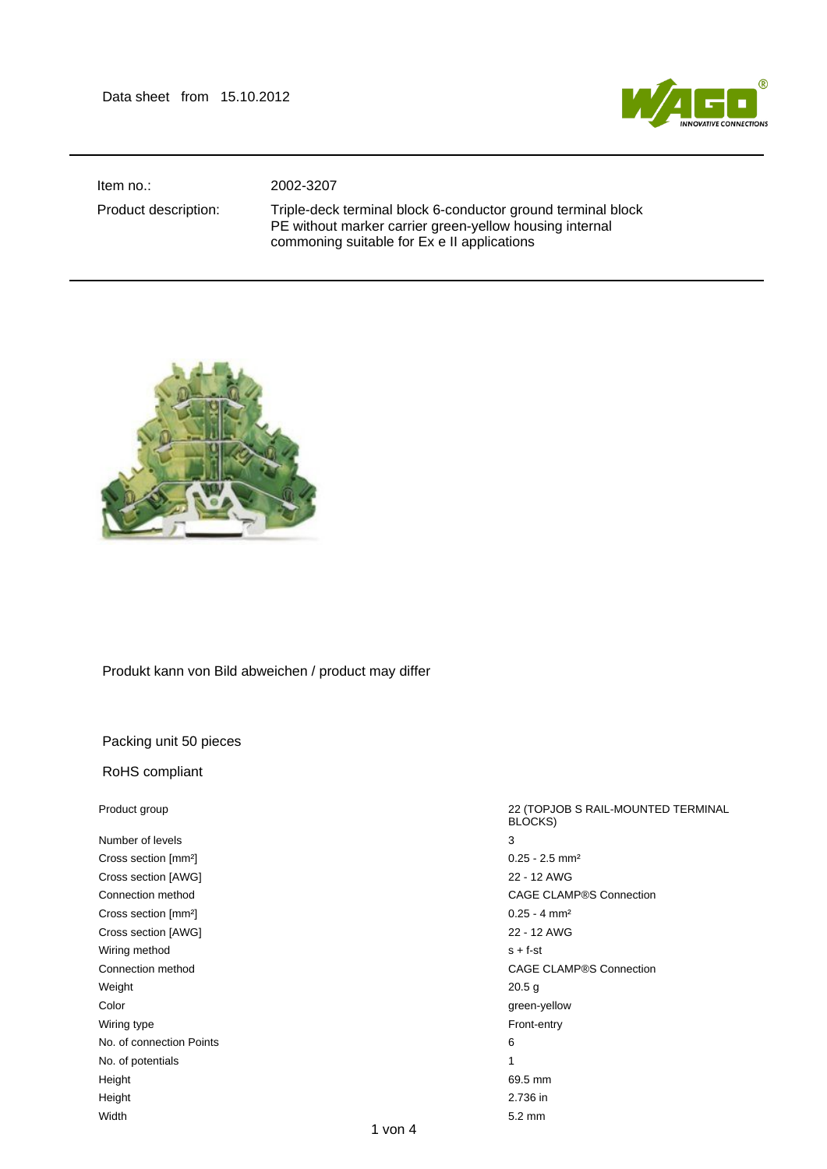

Item no.: 2002-3207

Product description: Triple-deck terminal block 6-conductor ground terminal block PE without marker carrier green-yellow housing internal commoning suitable for Ex e II applications



## Produkt kann von Bild abweichen / product may differ

## Packing unit 50 pieces

## RoHS compliant

| Product group                    | 22 (TOPJOB S RAIL-MOUNTED TERMINAL<br>BLOCKS) |
|----------------------------------|-----------------------------------------------|
| Number of levels                 | 3                                             |
| Cross section [mm <sup>2</sup> ] | $0.25 - 2.5$ mm <sup>2</sup>                  |
| Cross section [AWG]              | 22 - 12 AWG                                   |
| Connection method                | <b>CAGE CLAMP®S Connection</b>                |
| Cross section [mm <sup>2</sup> ] | $0.25 - 4$ mm <sup>2</sup>                    |
| Cross section [AWG]              | 22 - 12 AWG                                   |
| Wiring method                    | $s + f - st$                                  |
| Connection method                | <b>CAGE CLAMP®S Connection</b>                |
| Weight                           | 20.5 <sub>g</sub>                             |
| Color                            | green-yellow                                  |
| Wiring type                      | Front-entry                                   |
| No. of connection Points         | 6                                             |
| No. of potentials                | 1                                             |
| Height                           | 69.5 mm                                       |
| Height                           | 2.736 in                                      |
| Width                            | $5.2 \text{ mm}$                              |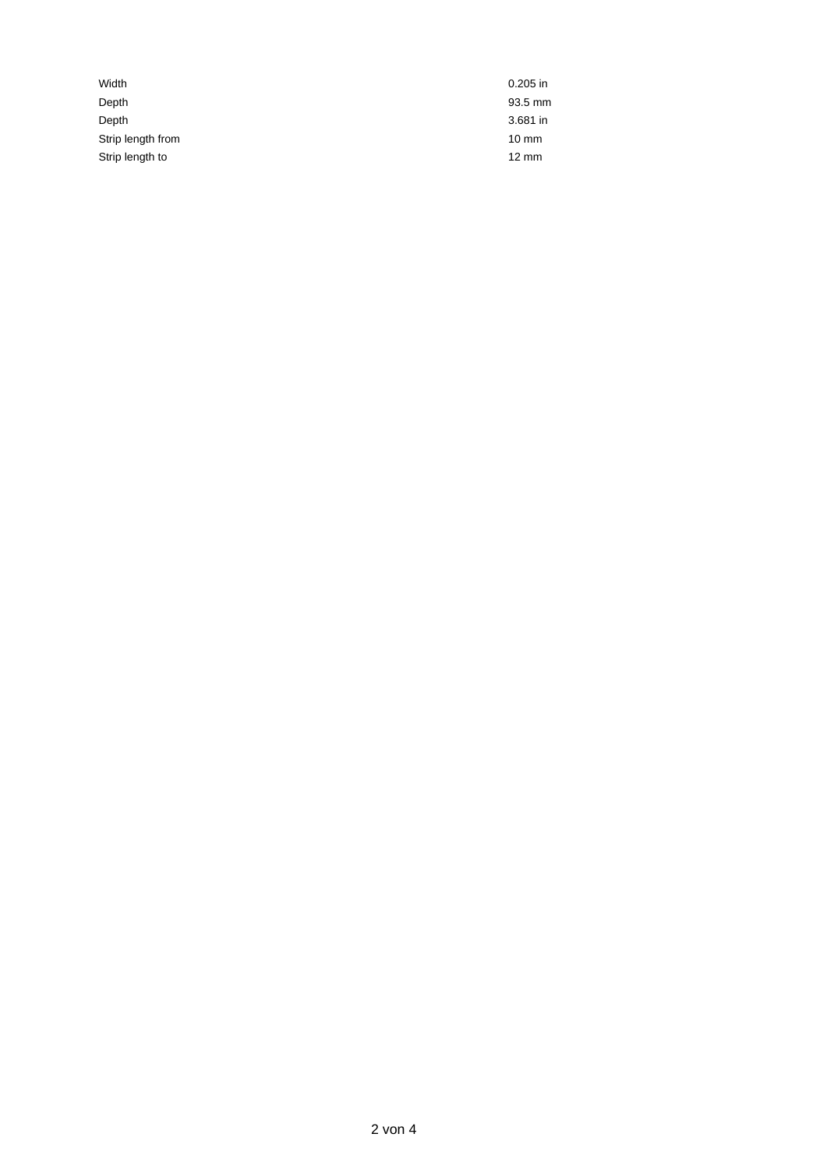| Width             | $0.205$ in      |
|-------------------|-----------------|
| Depth             | 93.5 mm         |
| Depth             | 3.681 in        |
| Strip length from | $10 \text{ mm}$ |
| Strip length to   | $12 \text{ mm}$ |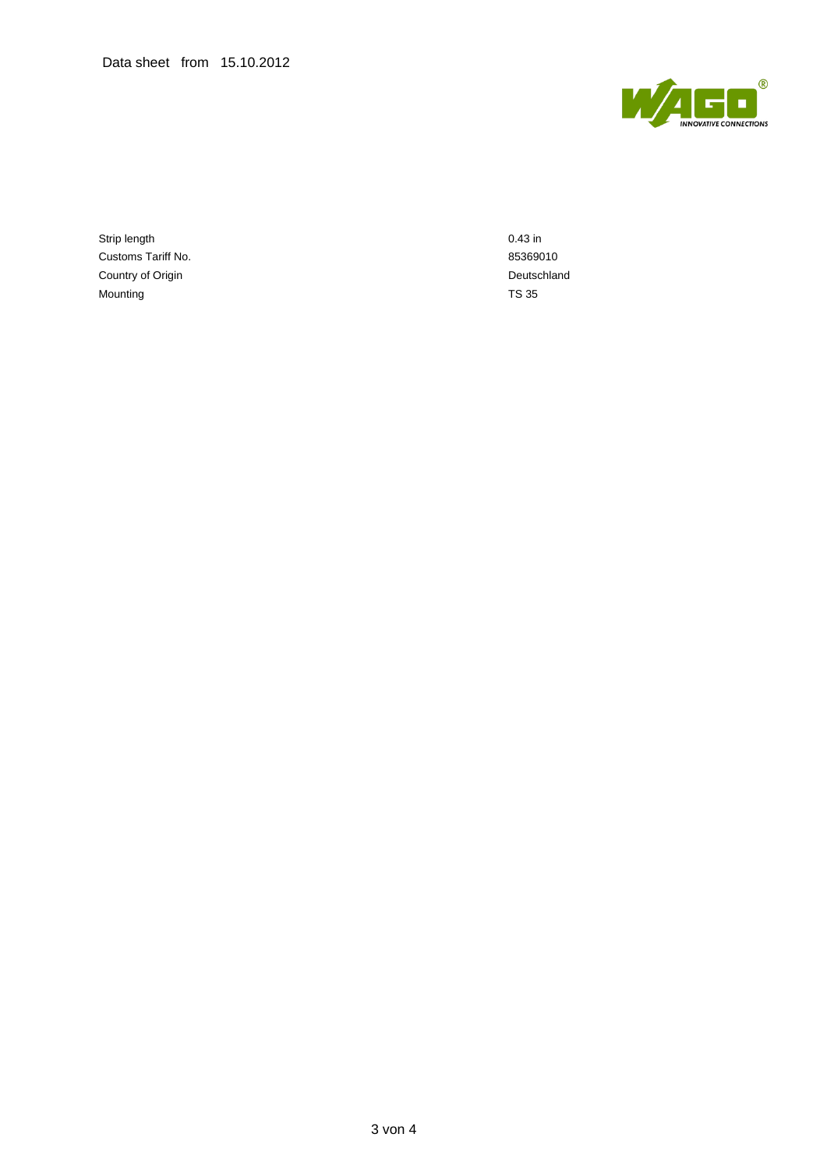

Strip length 0.43 in Customs Tariff No. 65369010 Country of Origin **Deutschland** Mounting TS 35